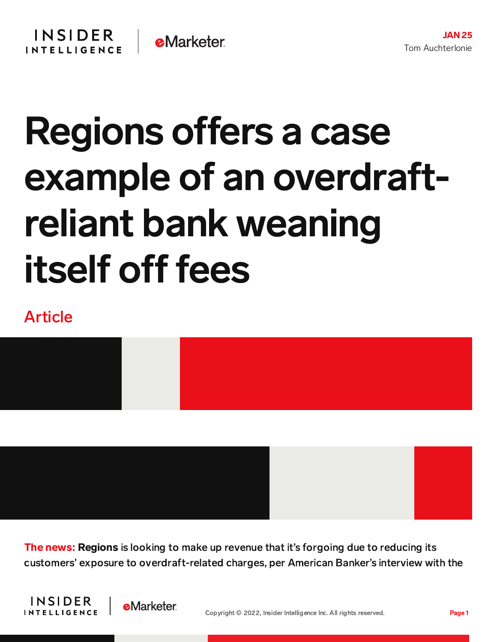## Regions offers a case example of an overdraftreliant bank weaning itself off fees

## Article



**The news: Regions** is looking to make up revenue that it's forgoing due to reducing its customers' exposure to overdraft-related charges, per American Banker's interview with the



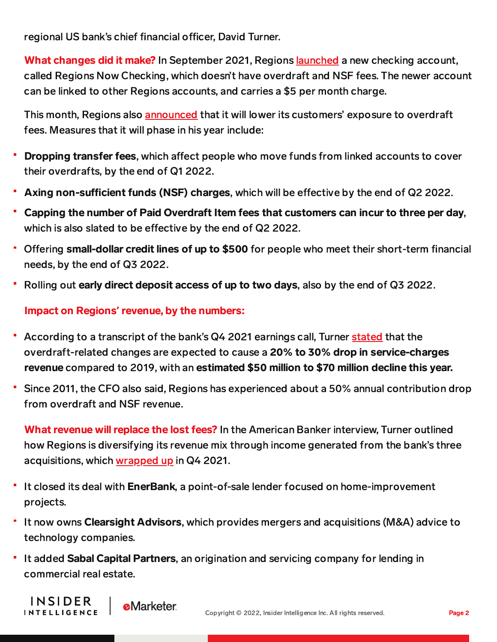regional US bank's chief financial officer, David Turner.

What changes did it make? In September 2021, Regions <u>[launched](https://content-na2.emarketer.com/regions-bank-s-overdraft-free-account-balances-profitability-with-customer-demand)</u> a new checking account, called Regions Now Checking, which doesn't have overdraft and NSF fees. The newer account can be linked to other Regions accounts, and carries a \$5 per month charge.

This month, Regions also [announced](https://doingmoretoday.com/regions-bank-announces-new-steps-to-reduce-overdraft-charges-eliminate-non-sufficient-funds-fees/) that it will lower its customers' exposure to overdraft fees. Measures that it will phase in his year include:

- Dropping transfer fees, which affect people who move funds from linked accounts to cover their overdrafts, by the end of Q1 2022.
- Axing non-sufficient funds (NSF) charges, which will be effective by the end of Q2 2022.
- Capping the number of Paid Overdraft Item fees that customers can incur to three per day, which is also slated to be effective by the end of Q2 2022.
- " Offering small-dollar credit lines of up to \$500 for people who meet their short-term financial needs, by the end of Q3 2022.
- Rolling out early direct deposit access of up to two days, also by the end of Q3 2022.

Impact on Regions**'** revenue, by the numbers:

- According to a transcript of the bank's Q4 2021 earnings call, Turner [stated](https://ir.regions.com/~/media/Files/R/Regions-IR/documents/4Q21%20Transcript-%20For%20Website.pdf) that the overdraft-related changes are expected to cause a 20% to 30% drop in service-charges revenue compared to 2019, with an estimated \$50 million to \$70 million decline this year.
- Since 2011, the CFO also said, Regions has experienced about a 50% annual contribution drop from overdraft and NSF revenue.

What revenue will replace the lost fees? In the American Banker interview, Turner outlined how Regions is diversifying its revenue mix through income generated from the bank's three acquisitions, which [wrapped](https://doingmoretoday.com/record-performance-accelerating-growth-regions-reports-2021-earnings-of-2-4-billion-earnings-per-diluted-share-of-2-49/) up in Q4 2021.

- It closed its deal with EnerBank, a point-of-sale lender focused on home-improvement projects.
- If it now owns Clearsight Advisors, which provides mergers and acquisitions (M&A) advice to technology companies.
- It added Sabal Capital Partners, an origination and servicing company for lending in commercial real estate.